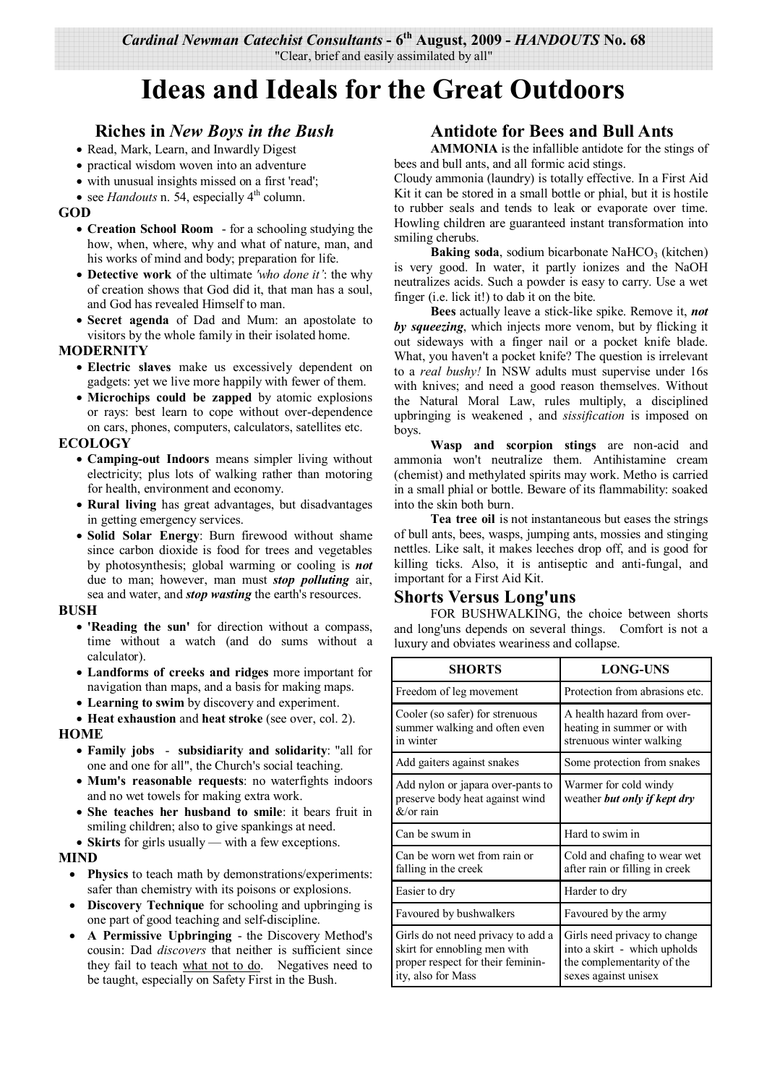## **Ideas and Ideals for the Great Outdoors**

## **Riches in** *New Boys in the Bush*

- Read, Mark, Learn, and Inwardly Digest
- practical wisdom woven into an adventure
- with unusual insights missed on a first 'read';
- see *Handouts* n. 54, especially  $4<sup>th</sup>$  column.

## **GOD**

- **Creation School Room**  for a schooling studying the how, when, where, why and what of nature, man, and his works of mind and body; preparation for life.
- **Detective work** of the ultimate *'who done it'*: the why of creation shows that God did it, that man has a soul, and God has revealed Himself to man.
- **Secret agenda** of Dad and Mum: an apostolate to visitors by the whole family in their isolated home.

## **MODERNITY**

- **Electric slaves** make us excessively dependent on gadgets: yet we live more happily with fewer of them.
- **Microchips could be zapped** by atomic explosions or rays: best learn to cope without over-dependence on cars, phones, computers, calculators, satellites etc.

## **ECOLOGY**

- **Camping-out Indoors** means simpler living without electricity; plus lots of walking rather than motoring for health, environment and economy.
- **Rural living** has great advantages, but disadvantages in getting emergency services.
- **Solid Solar Energy**: Burn firewood without shame since carbon dioxide is food for trees and vegetables by photosynthesis; global warming or cooling is *not* due to man; however, man must *stop polluting* air, sea and water, and *stop wasting* the earth's resources.

## **BUSH**

- **'Reading the sun'** for direction without a compass, time without a watch (and do sums without a calculator).
- **Landforms of creeks and ridges** more important for navigation than maps, and a basis for making maps.
- **Learning to swim** by discovery and experiment.
- **Heat exhaustion** and **heat stroke** (see over, col. 2).

## **HOME**

- **Family jobs subsidiarity and solidarity**: "all for one and one for all", the Church's social teaching.
- **Mum's reasonable requests**: no waterfights indoors and no wet towels for making extra work.
- **She teaches her husband to smile**: it bears fruit in smiling children; also to give spankings at need.
- **Skirts** for girls usually with a few exceptions.

#### **MIND**

- **Physics** to teach math by demonstrations/experiments: safer than chemistry with its poisons or explosions.
- **Discovery Technique** for schooling and upbringing is one part of good teaching and self-discipline.
- **A Permissive Upbringing**  the Discovery Method's cousin: Dad *discovers* that neither is sufficient since they fail to teach what not to do. Negatives need to be taught, especially on Safety First in the Bush.

## **Antidote for Bees and Bull Ants**

**AMMONIA** is the infallible antidote for the stings of bees and bull ants, and all formic acid stings.

Cloudy ammonia (laundry) is totally effective. In a First Aid Kit it can be stored in a small bottle or phial, but it is hostile to rubber seals and tends to leak or evaporate over time. Howling children are guaranteed instant transformation into smiling cherubs.

**Baking soda**, sodium bicarbonate NaHCO<sub>3</sub> (kitchen) is very good. In water, it partly ionizes and the NaOH neutralizes acids. Such a powder is easy to carry. Use a wet finger (i.e. lick it!) to dab it on the bite.

**Bees** actually leave a stick-like spike. Remove it, *not by squeezing*, which injects more venom, but by flicking it out sideways with a finger nail or a pocket knife blade. What, you haven't a pocket knife? The question is irrelevant to a *real bushy!* In NSW adults must supervise under 16s with knives; and need a good reason themselves. Without the Natural Moral Law, rules multiply, a disciplined upbringing is weakened , and *sissification* is imposed on boys.

**Wasp and scorpion stings** are non-acid and ammonia won't neutralize them. Antihistamine cream (chemist) and methylated spirits may work. Metho is carried in a small phial or bottle. Beware of its flammability: soaked into the skin both burn.

**Tea tree oil** is not instantaneous but eases the strings of bull ants, bees, wasps, jumping ants, mossies and stinging nettles. Like salt, it makes leeches drop off, and is good for killing ticks. Also, it is antiseptic and anti-fungal, and important for a First Aid Kit.

## **Shorts Versus Long'uns**

 FOR BUSHWALKING, the choice between shorts and long'uns depends on several things. Comfort is not a luxury and obviates weariness and collapse.

| <b>SHORTS</b>                                                                                                                 | <b>LONG-UNS</b>                                                                                                    |
|-------------------------------------------------------------------------------------------------------------------------------|--------------------------------------------------------------------------------------------------------------------|
| Freedom of leg movement                                                                                                       | Protection from abrasions etc.                                                                                     |
| Cooler (so safer) for strenuous<br>summer walking and often even<br>in winter                                                 | A health hazard from over-<br>heating in summer or with<br>strenuous winter walking                                |
| Add gaiters against snakes                                                                                                    | Some protection from snakes                                                                                        |
| Add nylon or japara over-pants to<br>preserve body heat against wind<br>$&\text{/or rain}$                                    | Warmer for cold windy<br>weather but only if kept dry                                                              |
| Can be swum in                                                                                                                | Hard to swim in                                                                                                    |
| Can be worn wet from rain or<br>falling in the creek                                                                          | Cold and chafing to wear wet<br>after rain or filling in creek                                                     |
| Easier to dry                                                                                                                 | Harder to dry                                                                                                      |
| Favoured by bushwalkers                                                                                                       | Favoured by the army                                                                                               |
| Girls do not need privacy to add a<br>skirt for ennobling men with<br>proper respect for their feminin-<br>ity, also for Mass | Girls need privacy to change<br>into a skirt - which upholds<br>the complementarity of the<br>sexes against unisex |